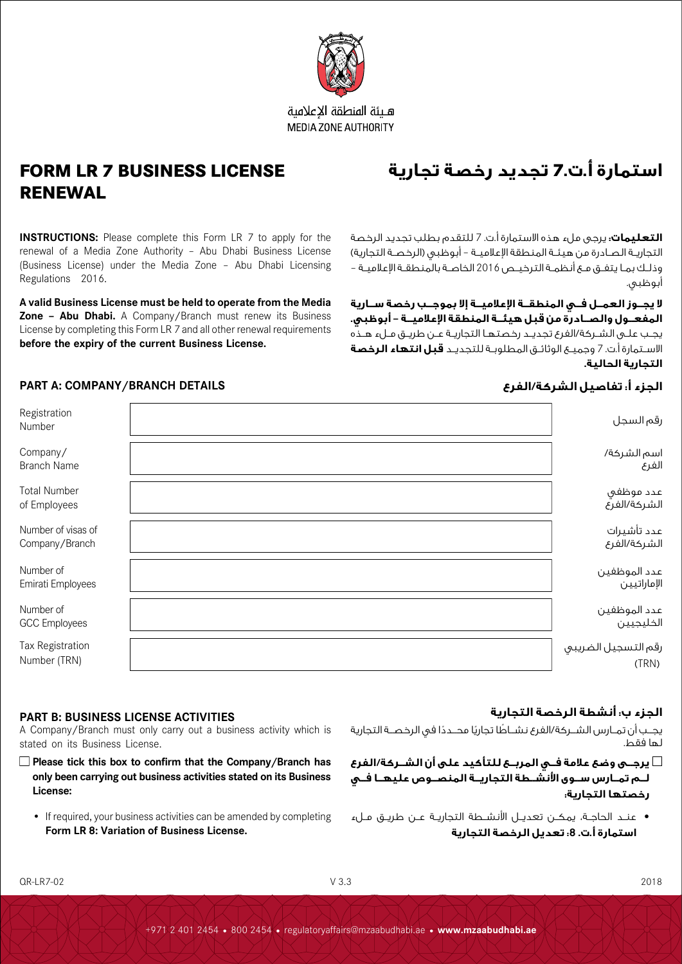

هلئة المنطقة الاعلامية **MEDIA ZONE AUTHORITY** 

## **FORM LR 7 BUSINESS LICENSE RENEWAL**

**INSTRUCTIONS:** Please complete this Form LR 7 to apply for the renewal of a Media Zone Authority – Abu Dhabi Business License (Business License) under the Media Zone – Abu Dhabi Licensing Regulations 2016.

**A valid Business License must be held to operate from the Media Zone – Abu Dhabi.** A Company/Branch must renew its Business License by completing this Form LR 7 and all other renewal requirements **before the expiry of the current Business License.**

# **استمارة أ.ت7. تجديد رخصة تجارية**

**التعليمات:** يرجى ملء هذه االستمارة أ.ت. 7 للتقدم بطلب تجديد الرخصة التجاريــة الصـادرة من هيئــة المنطقة الإعلاميــة – أبوظبـى (الرخصــة التجارية) وذلــك بمــا يتفــق مــع أنظمــة الترخيــص 2016 الخاصــة بالمنطقــة اإلعالميــة – أبوظبي.

**ال يجــوز العمــل فــي المنطقــة اإلعالميــة إال بموجــب رخصة ســارية المفعــول والصــادرة من قبل هيئــة المنطقة اإلعالميــة – أبوظبي.**  يجــب علــى الشــركة/الفرع تجديــد رخصتهــا التجاريــة عــن طريــق مــلء هــذه االســتمارة أ.ت. 7 وجميــع الوثائــق المطلوبــة للتجديــد **قبل انتهاء الرخصة التجارية الحالية.**

### **الجزء أ: تفاصيل الشركة/الفرع DETAILS BRANCH/COMPANY :A PART**

| Registration<br>Number               | رقم السجل                    |
|--------------------------------------|------------------------------|
| Company/<br><b>Branch Name</b>       | اسم الشركة/<br>الفرع         |
| <b>Total Number</b><br>of Employees  | عدد موظفي<br>الشركة/الفرع    |
| Number of visas of<br>Company/Branch | عدد تأشيرات<br>الشركة/الغرع  |
| Number of<br>Emirati Employees       | عدد الموظفين<br>الإماراتيين  |
| Number of<br><b>GCC</b> Employees    | عدد الموظفين<br>الخليجيين    |
| Tax Registration<br>Number (TRN)     | رقم التسجيل الضريبي<br>(TRN) |
|                                      |                              |

### **الجزء ب: أنشطة الرخصة التجارية**

يجــب أن تمــارس الشــركة/الفرع نشــاطا تجاريًا محــددًا في الرخصــة التجارية لها فقط.

- **يرجــى وضع عالمة فــي المربــع للتأكيد على أن الشــركة/الفرع لــم تمــارس ســوى األنشــطة التجاريــة المنصــوص عليهــا فــي رخصتها التجارية:**
- عنــد الحاجــة، يمكــن تعديــل األنشــطة التجاريــة عــن طريــق مــلء **استمارة أ.ت. :8 تعديل الرخصة التجارية**

### **PART B: BUSINESS LICENSE ACTIVITIES**

A Company/Branch must only carry out a business activity which is stated on its Business License.

- **Please tick this box to confirm that the Company/Branch has only been carrying out business activities stated on its Business License:** 
	- If required, your business activities can be amended by completing **Form LR 8: Variation of Business License.**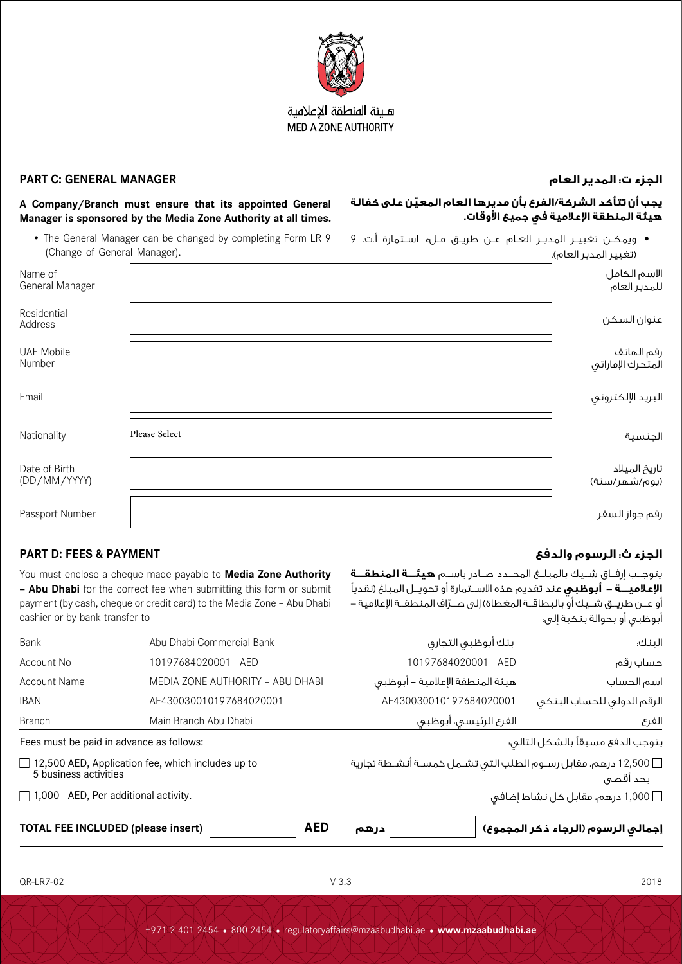

### هلئة المنطقة الاعلامية **MEDIA ZONE AUTHORITY**

### **الجزء ت: المدير العام MANAGER GENERAL :C PART**

**هيئة المنطقة اإلعالمية في جميع األوقات.**

**َّ يجب أن تتأكد الشركة/الفرع بأن مديرها العام المعين على كفالة** 

 ويمكــن تغييــر المديــر العــام عــن طريــق مــلء اســتمارة أ.ت. 9

يتوجـــب إرفـــاق شـــيك بالمبلـــغ المحـــدد صـــادر باســـم **هيئـــة المنطقـــة اإلعالميـــة - أبوظبي** عند تقديم هذه االســـتمارة أو تحويـــل المبلغ )نقديًا .<br>أو عــن طريـــق شــيك أو بالبطاقــة المغطاة) إلى صــرّاف المنطقــة الإعلامية –

### **A Company/Branch must ensure that its appointed General Manager is sponsored by the Media Zone Authority at all times.**

• The General Manager can be changed by completing Form LR 9 (Change of General Manager).

| (Change of General Manager).  |               | (تغيير المدير العام).           |
|-------------------------------|---------------|---------------------------------|
| Name of<br>General Manager    |               | الاسم الكامل<br>للمدير العام    |
| Residential<br>Address        |               | عنوان السكن                     |
| <b>UAE Mobile</b><br>Number   |               | رقم الهاتف<br>المتحرك الإماراتي |
| Email                         |               | البريد الإلكتروني               |
| Nationality                   | Please Select | الجنسية                         |
| Date of Birth<br>(DD/MM/YYYY) |               | تاريخ الميلاد<br>(يوم/شهر/سنة)  |
| Passport Number               |               | رقم جواز السفر                  |

### **الجزء ث: الرسوم والدفع PAYMENT & FEES :D PART**

You must enclose a cheque made payable to **Media Zone Authority – Abu Dhabi** for the correct fee when submitting this form or submit payment (by cash, cheque or credit card) to the Media Zone – Abu Dhabi cashier or by bank transfer to

### أبوظبي أو بحوالة بنكية إلى: Bank Abu Dhabi Commercial Bank التجاري أبوظبي بنك :البنك Account No 10197684020001 - AED 10197684020001 - AED رقم حساب Account Name MEDIA ZONE AUTHORITY – ABU DHABI أبوظبي – اإلعالمية المنطقة هيئة الحساب اسم الرقم الدولي للحساب البنكي 430030010197684020001AE 430030010197684020001AE IBAN Branch Main Branch Abu Dhabi أبوظبي ،الرئيسي الفرع الفرع Fees must be paid in advance as follows:  $\Box$  12,500 AED, Application fee, which includes up to 5 business activities  $\Box$  1,000 AED, Per additional activity. يتوجب الدفع مسبقًا بالشكل التالي: 12,500 درهم، مقابل رســوم الطلب التي تشــمل خمســة أنشــطة تجارية بحد أقصى 1,000 درهم، مقابل كل نشاط إضافي **إجمالي الرسوم )الرجاء ذكر المجموع( درهم AED) insert please (INCLUDED FEE TOTAL**